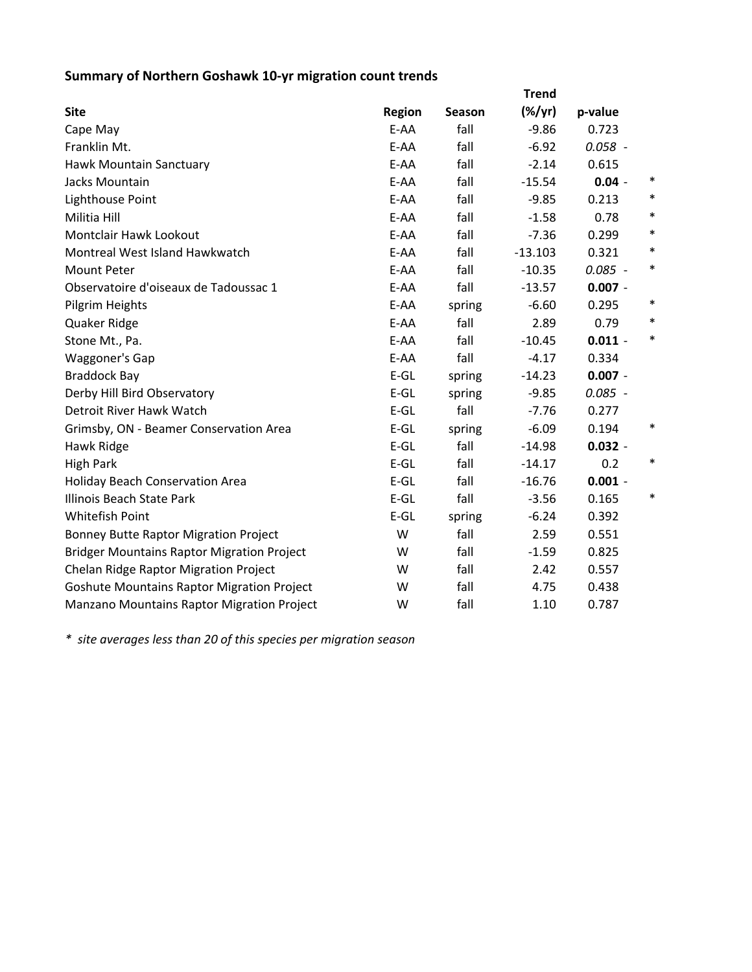## **Summary of Northern Goshawk 10‐yr migration count trends**

|                                                   |               |        | <b>Trend</b> |           |        |
|---------------------------------------------------|---------------|--------|--------------|-----------|--------|
| <b>Site</b>                                       | <b>Region</b> | Season | $(\%/yr)$    | p-value   |        |
| Cape May                                          | E-AA          | fall   | $-9.86$      | 0.723     |        |
| Franklin Mt.                                      | E-AA          | fall   | $-6.92$      | $0.058 -$ |        |
| Hawk Mountain Sanctuary                           | E-AA          | fall   | $-2.14$      | 0.615     |        |
| Jacks Mountain                                    | E-AA          | fall   | $-15.54$     | $0.04 -$  | ∗      |
| Lighthouse Point                                  | E-AA          | fall   | $-9.85$      | 0.213     | $\ast$ |
| Militia Hill                                      | E-AA          | fall   | $-1.58$      | 0.78      | $\ast$ |
| Montclair Hawk Lookout                            | E-AA          | fall   | $-7.36$      | 0.299     | $\ast$ |
| Montreal West Island Hawkwatch                    | E-AA          | fall   | $-13.103$    | 0.321     | $\ast$ |
| <b>Mount Peter</b>                                | E-AA          | fall   | $-10.35$     | $0.085 -$ | $\ast$ |
| Observatoire d'oiseaux de Tadoussac 1             | E-AA          | fall   | $-13.57$     | $0.007 -$ |        |
| Pilgrim Heights                                   | E-AA          | spring | $-6.60$      | 0.295     | $\ast$ |
| Quaker Ridge                                      | E-AA          | fall   | 2.89         | 0.79      | $\ast$ |
| Stone Mt., Pa.                                    | E-AA          | fall   | $-10.45$     | $0.011 -$ | $\ast$ |
| Waggoner's Gap                                    | E-AA          | fall   | $-4.17$      | 0.334     |        |
| <b>Braddock Bay</b>                               | $E-GL$        | spring | $-14.23$     | $0.007 -$ |        |
| Derby Hill Bird Observatory                       | $E-GL$        | spring | $-9.85$      | $0.085 -$ |        |
| Detroit River Hawk Watch                          | $E-GL$        | fall   | $-7.76$      | 0.277     |        |
| Grimsby, ON - Beamer Conservation Area            | $E-GL$        | spring | $-6.09$      | 0.194     | $\ast$ |
| Hawk Ridge                                        | $E-GL$        | fall   | $-14.98$     | $0.032 -$ |        |
| <b>High Park</b>                                  | $E-GL$        | fall   | $-14.17$     | 0.2       | $\ast$ |
| <b>Holiday Beach Conservation Area</b>            | $E-GL$        | fall   | $-16.76$     | $0.001 -$ |        |
| Illinois Beach State Park                         | $E-GL$        | fall   | $-3.56$      | 0.165     | $\ast$ |
| <b>Whitefish Point</b>                            | $E-GL$        | spring | $-6.24$      | 0.392     |        |
| <b>Bonney Butte Raptor Migration Project</b>      | W             | fall   | 2.59         | 0.551     |        |
| <b>Bridger Mountains Raptor Migration Project</b> | W             | fall   | $-1.59$      | 0.825     |        |
| Chelan Ridge Raptor Migration Project             | W             | fall   | 2.42         | 0.557     |        |
| <b>Goshute Mountains Raptor Migration Project</b> | W             | fall   | 4.75         | 0.438     |        |
| Manzano Mountains Raptor Migration Project        | W             | fall   | 1.10         | 0.787     |        |

*\* site averages less than 20 of this species per migration season*